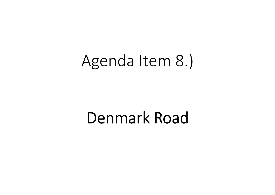# Agenda Item 8.)

# **Denmark Road**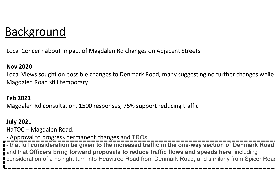### Background

Local Concern about impact of Magdalen Rd changes on Adjacent Streets

#### Nov 2020

 Local Views sought on possible changes to Denmark Road, many suggesting no further changes while Magdalen Road still temporary

#### Feb 2021

Magdalen Rd consultation. 1500 responses, 75% support reducing traffic

#### July 2021

HaTOC – Magdalen Road,

- Approval to progress permanent changes and TROs

- that full consideration be given to the increased traffic in the one-way section of Denmark Road, and that Officers bring forward proposals to reduce traffic flows and speeds here, including consideration of a no right turn into Heavitree Road from Denmark Road, and similarly from Spicer Road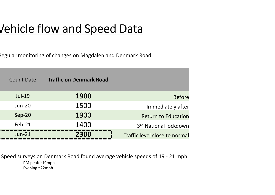### Vehicle flow and Speed Data

Regular monitoring of changes on Magdalen and Denmark Road

| <b>Count Date</b> | <b>Traffic on Denmark Road</b> |                               |  |
|-------------------|--------------------------------|-------------------------------|--|
| $Jul-19$          | <b>1900</b>                    | <b>Before</b>                 |  |
| $Jun-20$          | 1500                           | Immediately after             |  |
| Sep-20            | 1900                           | <b>Return to Education</b>    |  |
| $Feb-21$          | 1400                           | 3rd National lockdown         |  |
| $Jun-21$          | 2300                           | Traffic level close to normal |  |

Speed surveys on Denmark Road found average vehicle speeds of 19 - 21 mphPM peak ~19mphEvening ~22mph.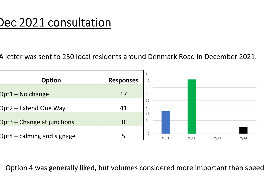### Dec 2021 consultation

A letter was sent to 250 local residents around Denmark Road in December 2021.



Option 4 was generally liked, but volumes considered more important than speed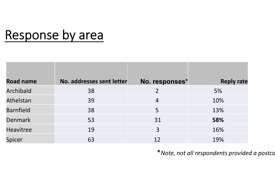## Response by area

| <b>Road name</b> | No. addresses sent letter | No. responses* | <b>Reply rate</b> |
|------------------|---------------------------|----------------|-------------------|
| Archibald        | 38                        |                | 5%                |
| Athelstan        | 39                        | $\overline{4}$ | 10%               |
| <b>Barnfield</b> | 38                        | 5              | 13%               |
| <b>Denmark</b>   | 53                        | 31             | 58%               |
| <b>Heavitree</b> | 19                        | 3              | 16%               |
| Spicer           | 63                        | 12             | 19%               |

\* Note, not all respondents provided a postco